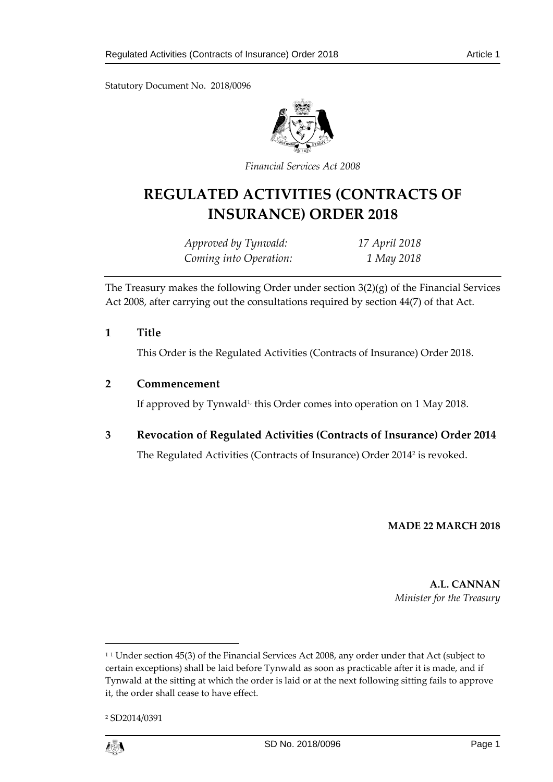Statutory Document No. 2018/0096



*Financial Services Act 2008* 

# **REGULATED ACTIVITIES (CONTRACTS OF INSURANCE) ORDER 2018**

| Approved by Tynwald:   | 17 April 2018 |
|------------------------|---------------|
| Coming into Operation: | 1 May 2018    |

The Treasury makes the following Order under section 3(2)(g) of the Financial Services Act 2008, after carrying out the consultations required by section 44(7) of that Act.

**1 Title**

This Order is the Regulated Activities (Contracts of Insurance) Order 2018.

#### **2 Commencement**

If approved by Tynwald<sup>1,</sup> this Order comes into operation on 1 May 2018.

## **3 Revocation of Regulated Activities (Contracts of Insurance) Order 2014**

The Regulated Activities (Contracts of Insurance) Order 2014<sup>2</sup> is revoked.

#### **MADE 22 MARCH 2018**

**A.L. CANNAN** *Minister for the Treasury*

<sup>2</sup> SD2014/0391



 $\overline{a}$ 

<sup>&</sup>lt;sup>11</sup> Under section 45(3) of the Financial Services Act 2008, any order under that Act (subject to certain exceptions) shall be laid before Tynwald as soon as practicable after it is made, and if Tynwald at the sitting at which the order is laid or at the next following sitting fails to approve it, the order shall cease to have effect.